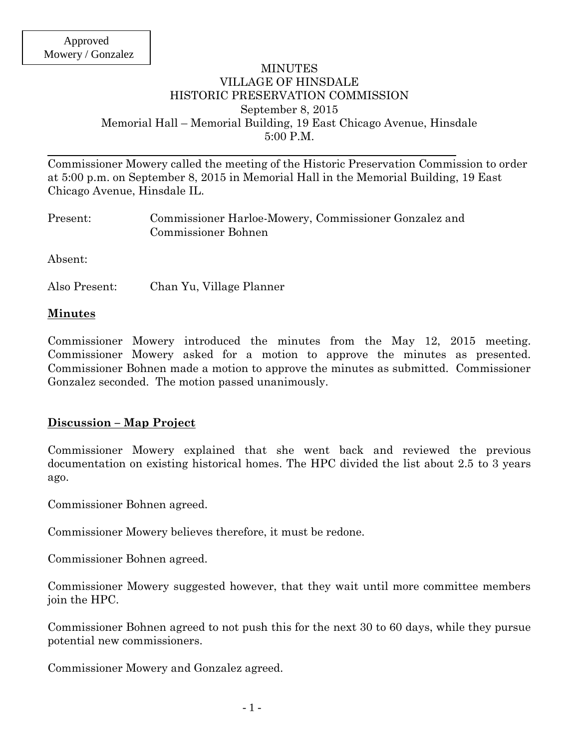#### MINUTES VILLAGE OF HINSDALE HISTORIC PRESERVATION COMMISSION September 8, 2015 Memorial Hall – Memorial Building, 19 East Chicago Avenue, Hinsdale 5:00 P.M.

Commissioner Mowery called the meeting of the Historic Preservation Commission to order at 5:00 p.m. on September 8, 2015 in Memorial Hall in the Memorial Building, 19 East Chicago Avenue, Hinsdale IL.

| Present: | Commissioner Harloe-Mowery, Commissioner Gonzalez and |  |
|----------|-------------------------------------------------------|--|
|          | Commissioner Bohnen                                   |  |

Absent:

Also Present: Chan Yu, Village Planner

#### **Minutes**

Commissioner Mowery introduced the minutes from the May 12, 2015 meeting. Commissioner Mowery asked for a motion to approve the minutes as presented. Commissioner Bohnen made a motion to approve the minutes as submitted. Commissioner Gonzalez seconded. The motion passed unanimously.

#### **Discussion – Map Project**

Commissioner Mowery explained that she went back and reviewed the previous documentation on existing historical homes. The HPC divided the list about 2.5 to 3 years ago.

Commissioner Bohnen agreed.

Commissioner Mowery believes therefore, it must be redone.

Commissioner Bohnen agreed.

Commissioner Mowery suggested however, that they wait until more committee members join the HPC.

Commissioner Bohnen agreed to not push this for the next 30 to 60 days, while they pursue potential new commissioners.

Commissioner Mowery and Gonzalez agreed.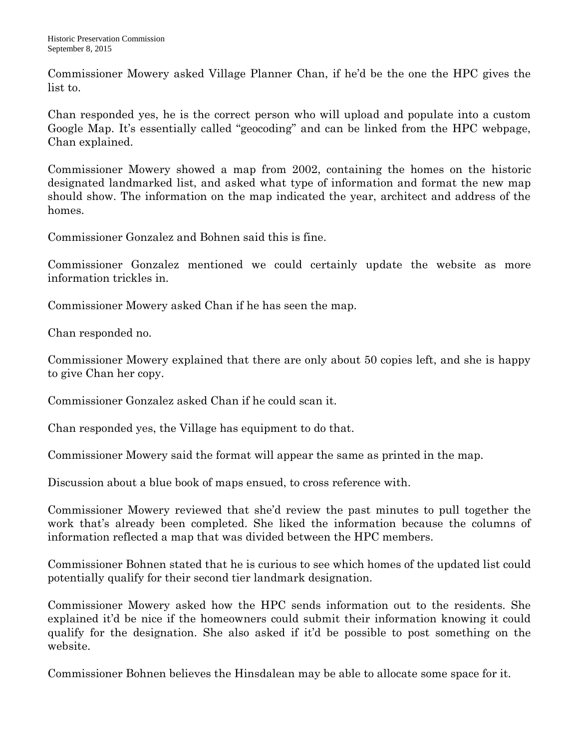Commissioner Mowery asked Village Planner Chan, if he'd be the one the HPC gives the list to.

Chan responded yes, he is the correct person who will upload and populate into a custom Google Map. It's essentially called "geocoding" and can be linked from the HPC webpage, Chan explained.

Commissioner Mowery showed a map from 2002, containing the homes on the historic designated landmarked list, and asked what type of information and format the new map should show. The information on the map indicated the year, architect and address of the homes.

Commissioner Gonzalez and Bohnen said this is fine.

Commissioner Gonzalez mentioned we could certainly update the website as more information trickles in.

Commissioner Mowery asked Chan if he has seen the map.

Chan responded no.

Commissioner Mowery explained that there are only about 50 copies left, and she is happy to give Chan her copy.

Commissioner Gonzalez asked Chan if he could scan it.

Chan responded yes, the Village has equipment to do that.

Commissioner Mowery said the format will appear the same as printed in the map.

Discussion about a blue book of maps ensued, to cross reference with.

Commissioner Mowery reviewed that she'd review the past minutes to pull together the work that's already been completed. She liked the information because the columns of information reflected a map that was divided between the HPC members.

Commissioner Bohnen stated that he is curious to see which homes of the updated list could potentially qualify for their second tier landmark designation.

Commissioner Mowery asked how the HPC sends information out to the residents. She explained it'd be nice if the homeowners could submit their information knowing it could qualify for the designation. She also asked if it'd be possible to post something on the website.

Commissioner Bohnen believes the Hinsdalean may be able to allocate some space for it.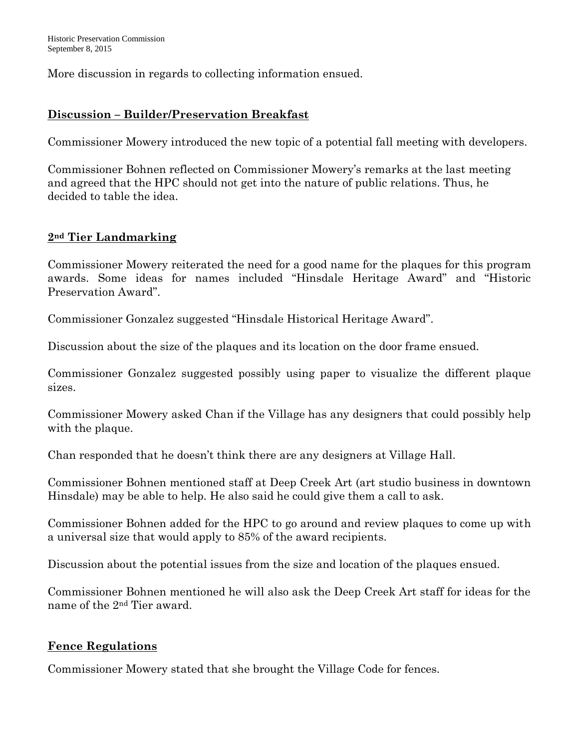More discussion in regards to collecting information ensued.

## **Discussion – Builder/Preservation Breakfast**

Commissioner Mowery introduced the new topic of a potential fall meeting with developers.

Commissioner Bohnen reflected on Commissioner Mowery's remarks at the last meeting and agreed that the HPC should not get into the nature of public relations. Thus, he decided to table the idea.

### **2nd Tier Landmarking**

Commissioner Mowery reiterated the need for a good name for the plaques for this program awards. Some ideas for names included "Hinsdale Heritage Award" and "Historic Preservation Award".

Commissioner Gonzalez suggested "Hinsdale Historical Heritage Award".

Discussion about the size of the plaques and its location on the door frame ensued.

Commissioner Gonzalez suggested possibly using paper to visualize the different plaque sizes.

Commissioner Mowery asked Chan if the Village has any designers that could possibly help with the plaque.

Chan responded that he doesn't think there are any designers at Village Hall.

Commissioner Bohnen mentioned staff at Deep Creek Art (art studio business in downtown Hinsdale) may be able to help. He also said he could give them a call to ask.

Commissioner Bohnen added for the HPC to go around and review plaques to come up with a universal size that would apply to 85% of the award recipients.

Discussion about the potential issues from the size and location of the plaques ensued.

Commissioner Bohnen mentioned he will also ask the Deep Creek Art staff for ideas for the name of the 2nd Tier award.

### **Fence Regulations**

Commissioner Mowery stated that she brought the Village Code for fences.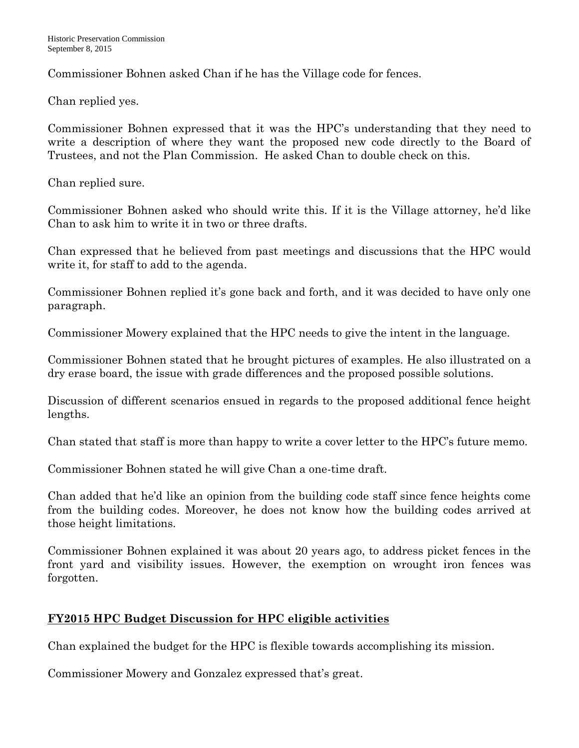Commissioner Bohnen asked Chan if he has the Village code for fences.

### Chan replied yes.

Commissioner Bohnen expressed that it was the HPC's understanding that they need to write a description of where they want the proposed new code directly to the Board of Trustees, and not the Plan Commission. He asked Chan to double check on this.

Chan replied sure.

Commissioner Bohnen asked who should write this. If it is the Village attorney, he'd like Chan to ask him to write it in two or three drafts.

Chan expressed that he believed from past meetings and discussions that the HPC would write it, for staff to add to the agenda.

Commissioner Bohnen replied it's gone back and forth, and it was decided to have only one paragraph.

Commissioner Mowery explained that the HPC needs to give the intent in the language.

Commissioner Bohnen stated that he brought pictures of examples. He also illustrated on a dry erase board, the issue with grade differences and the proposed possible solutions.

Discussion of different scenarios ensued in regards to the proposed additional fence height lengths.

Chan stated that staff is more than happy to write a cover letter to the HPC's future memo.

Commissioner Bohnen stated he will give Chan a one-time draft.

Chan added that he'd like an opinion from the building code staff since fence heights come from the building codes. Moreover, he does not know how the building codes arrived at those height limitations.

Commissioner Bohnen explained it was about 20 years ago, to address picket fences in the front yard and visibility issues. However, the exemption on wrought iron fences was forgotten.

# **FY2015 HPC Budget Discussion for HPC eligible activities**

Chan explained the budget for the HPC is flexible towards accomplishing its mission.

Commissioner Mowery and Gonzalez expressed that's great.